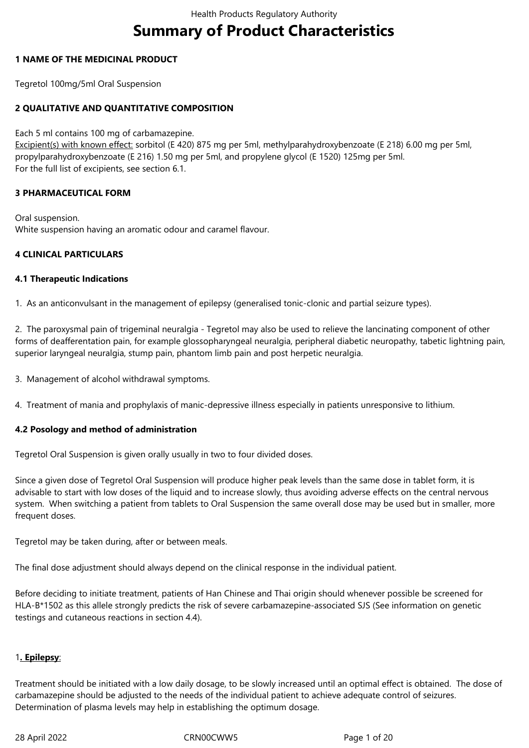# **Summary of Product Characteristics**

## **1 NAME OF THE MEDICINAL PRODUCT**

Tegretol 100mg/5ml Oral Suspension

## **2 QUALITATIVE AND QUANTITATIVE COMPOSITION**

Each 5 ml contains 100 mg of carbamazepine.

Excipient(s) with known effect: sorbitol (E 420) 875 mg per 5ml, methylparahydroxybenzoate (E 218) 6.00 mg per 5ml, propylparahydroxybenzoate (E 216) 1.50 mg per 5ml, and propylene glycol (E 1520) 125mg per 5ml. For the full list of excipients, see section 6.1.

## **3 PHARMACEUTICAL FORM**

Oral suspension. White suspension having an aromatic odour and caramel flavour.

## **4 CLINICAL PARTICULARS**

#### **4.1 Therapeutic Indications**

1. As an anticonvulsant in the management of epilepsy (generalised tonic-clonic and partial seizure types).

2. The paroxysmal pain of trigeminal neuralgia - Tegretol may also be used to relieve the lancinating component of other forms of deafferentation pain, for example glossopharyngeal neuralgia, peripheral diabetic neuropathy, tabetic lightning pain, superior laryngeal neuralgia, stump pain, phantom limb pain and post herpetic neuralgia.

3. Management of alcohol withdrawal symptoms.

4. Treatment of mania and prophylaxis of manic-depressive illness especially in patients unresponsive to lithium.

#### **4.2 Posology and method of administration**

Tegretol Oral Suspension is given orally usually in two to four divided doses.

Since a given dose of Tegretol Oral Suspension will produce higher peak levels than the same dose in tablet form, it is advisable to start with low doses of the liquid and to increase slowly, thus avoiding adverse effects on the central nervous system. When switching a patient from tablets to Oral Suspension the same overall dose may be used but in smaller, more frequent doses.

Tegretol may be taken during, after or between meals.

The final dose adjustment should always depend on the clinical response in the individual patient.

Before deciding to initiate treatment, patients of Han Chinese and Thai origin should whenever possible be screened for HLA-B\*1502 as this allele strongly predicts the risk of severe carbamazepine-associated SJS (See information on genetic testings and cutaneous reactions in section 4.4).

## 1**. Epilepsy**:

Treatment should be initiated with a low daily dosage, to be slowly increased until an optimal effect is obtained. The dose of carbamazepine should be adjusted to the needs of the individual patient to achieve adequate control of seizures. Determination of plasma levels may help in establishing the optimum dosage.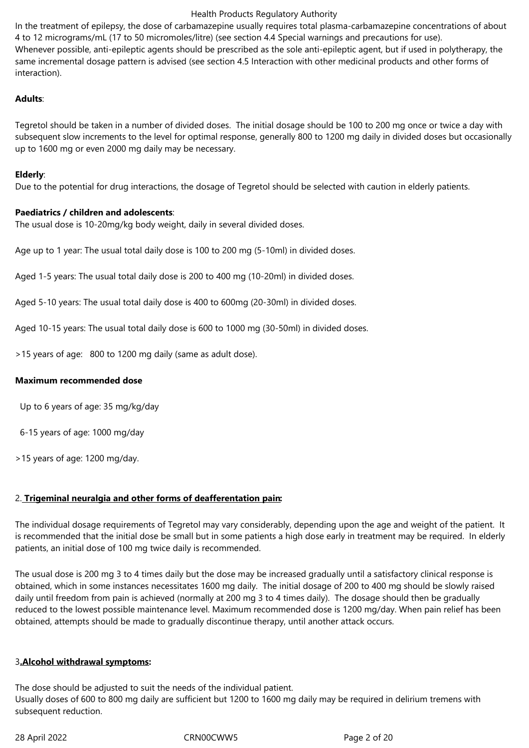In the treatment of epilepsy, the dose of carbamazepine usually requires total plasma-carbamazepine concentrations of about 4 to 12 micrograms/mL (17 to 50 micromoles/litre) (see section 4.4 Special warnings and precautions for use). Whenever possible, anti-epileptic agents should be prescribed as the sole anti-epileptic agent, but if used in polytherapy, the same incremental dosage pattern is advised (see section 4.5 Interaction with other medicinal products and other forms of interaction).

## **Adults**:

Tegretol should be taken in a number of divided doses. The initial dosage should be 100 to 200 mg once or twice a day with subsequent slow increments to the level for optimal response, generally 800 to 1200 mg daily in divided doses but occasionally up to 1600 mg or even 2000 mg daily may be necessary.

### **Elderly**:

Due to the potential for drug interactions, the dosage of Tegretol should be selected with caution in elderly patients.

## **Paediatrics / children and adolescents**:

The usual dose is 10-20mg/kg body weight, daily in several divided doses.

Age up to 1 year: The usual total daily dose is 100 to 200 mg (5-10ml) in divided doses.

Aged 1-5 years: The usual total daily dose is 200 to 400 mg (10-20ml) in divided doses.

Aged 5-10 years: The usual total daily dose is 400 to 600mg (20-30ml) in divided doses.

Aged 10-15 years: The usual total daily dose is 600 to 1000 mg (30-50ml) in divided doses.

>15 years of age: 800 to 1200 mg daily (same as adult dose).

#### **Maximum recommended dose**

Up to 6 years of age: 35 mg/kg/day

6-15 years of age: 1000 mg/day

>15 years of age: 1200 mg/day.

## 2. **Trigeminal neuralgia and other forms of deafferentation pain:**

The individual dosage requirements of Tegretol may vary considerably, depending upon the age and weight of the patient. It is recommended that the initial dose be small but in some patients a high dose early in treatment may be required. In elderly patients, an initial dose of 100 mg twice daily is recommended.

The usual dose is 200 mg 3 to 4 times daily but the dose may be increased gradually until a satisfactory clinical response is obtained, which in some instances necessitates 1600 mg daily. The initial dosage of 200 to 400 mg should be slowly raised daily until freedom from pain is achieved (normally at 200 mg 3 to 4 times daily). The dosage should then be gradually reduced to the lowest possible maintenance level. Maximum recommended dose is 1200 mg/day. When pain relief has been obtained, attempts should be made to gradually discontinue therapy, until another attack occurs.

## 3**.Alcohol withdrawal symptoms:**

The dose should be adjusted to suit the needs of the individual patient. Usually doses of 600 to 800 mg daily are sufficient but 1200 to 1600 mg daily may be required in delirium tremens with subsequent reduction.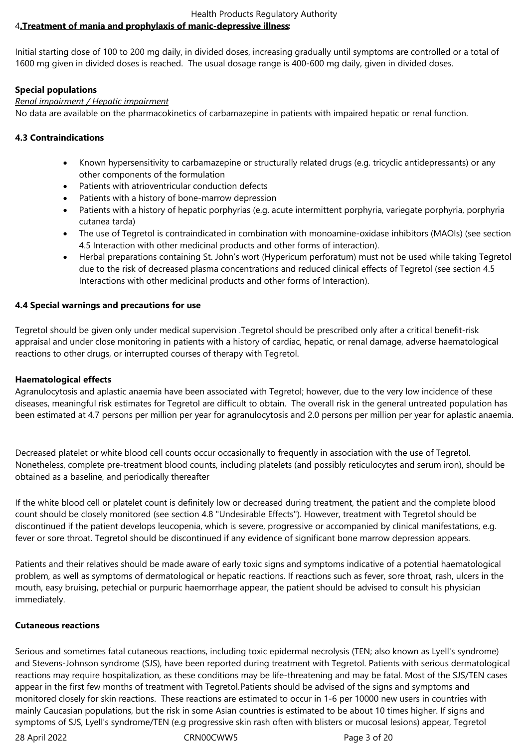#### Health Products Regulatory Authority 4**.Treatment of mania and prophylaxis of manic-depressive illness:**

Initial starting dose of 100 to 200 mg daily, in divided doses, increasing gradually until symptoms are controlled or a total of 1600 mg given in divided doses is reached. The usual dosage range is 400-600 mg daily, given in divided doses.

## **Special populations**

## *Renal impairment / Hepatic impairment*

No data are available on the pharmacokinetics of carbamazepine in patients with impaired hepatic or renal function.

## **4.3 Contraindications**

- Known hypersensitivity to carbamazepine or structurally related drugs (e.g. tricyclic antidepressants) or any other components of the formulation
- Patients with atrioventricular conduction defects
- Patients with a history of bone-marrow depression
- Patients with a history of hepatic porphyrias (e.g. acute intermittent porphyria, variegate porphyria, porphyria cutanea tarda)
- The use of Tegretol is contraindicated in combination with monoamine-oxidase inhibitors (MAOIs) (see section 4.5 Interaction with other medicinal products and other forms of interaction).
- Herbal preparations containing St. John's wort (Hypericum perforatum) must not be used while taking Tegretol due to the risk of decreased plasma concentrations and reduced clinical effects of Tegretol (see section 4.5 Interactions with other medicinal products and other forms of Interaction).

## **4.4 Special warnings and precautions for use**

Tegretol should be given only under medical supervision .Tegretol should be prescribed only after a critical benefit-risk appraisal and under close monitoring in patients with a history of cardiac, hepatic, or renal damage, adverse haematological reactions to other drugs, or interrupted courses of therapy with Tegretol.

## **Haematological effects**

Agranulocytosis and aplastic anaemia have been associated with Tegretol; however, due to the very low incidence of these diseases, meaningful risk estimates for Tegretol are difficult to obtain. The overall risk in the general untreated population has been estimated at 4.7 persons per million per year for agranulocytosis and 2.0 persons per million per year for aplastic anaemia.

Decreased platelet or white blood cell counts occur occasionally to frequently in association with the use of Tegretol. Nonetheless, complete pre-treatment blood counts, including platelets (and possibly reticulocytes and serum iron), should be obtained as a baseline, and periodically thereafter

If the white blood cell or platelet count is definitely low or decreased during treatment, the patient and the complete blood count should be closely monitored (see section 4.8 "Undesirable Effects"). However, treatment with Tegretol should be discontinued if the patient develops leucopenia, which is severe, progressive or accompanied by clinical manifestations, e.g. fever or sore throat. Tegretol should be discontinued if any evidence of significant bone marrow depression appears.

Patients and their relatives should be made aware of early toxic signs and symptoms indicative of a potential haematological problem, as well as symptoms of dermatological or hepatic reactions. If reactions such as fever, sore throat, rash, ulcers in the mouth, easy bruising, petechial or purpuric haemorrhage appear, the patient should be advised to consult his physician immediately.

## **Cutaneous reactions**

Serious and sometimes fatal cutaneous reactions, including toxic epidermal necrolysis (TEN; also known as Lyell's syndrome) and Stevens-Johnson syndrome (SJS), have been reported during treatment with Tegretol. Patients with serious dermatological reactions may require hospitalization, as these conditions may be life-threatening and may be fatal. Most of the SJS/TEN cases appear in the first few months of treatment with Tegretol.Patients should be advised of the signs and symptoms and monitored closely for skin reactions. These reactions are estimated to occur in 1-6 per 10000 new users in countries with mainly Caucasian populations, but the risk in some Asian countries is estimated to be about 10 times higher. If signs and symptoms of SJS, Lyell's syndrome/TEN (e.g progressive skin rash often with blisters or mucosal lesions) appear, Tegretol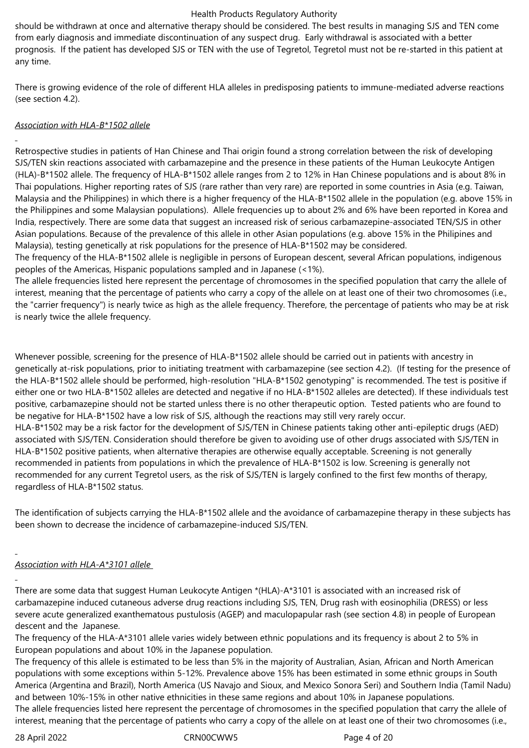should be withdrawn at once and alternative therapy should be considered. The best results in managing SJS and TEN come from early diagnosis and immediate discontinuation of any suspect drug. Early withdrawal is associated with a better prognosis. If the patient has developed SJS or TEN with the use of Tegretol, Tegretol must not be re-started in this patient at any time.

There is growing evidence of the role of different HLA alleles in predisposing patients to immune-mediated adverse reactions (see section 4.2).

## *Association with HLA-B\*1502 allele*

Retrospective studies in patients of Han Chinese and Thai origin found a strong correlation between the risk of developing SJS/TEN skin reactions associated with carbamazepine and the presence in these patients of the Human Leukocyte Antigen (HLA)-B\*1502 allele. The frequency of HLA-B\*1502 allele ranges from 2 to 12% in Han Chinese populations and is about 8% in Thai populations. Higher reporting rates of SJS (rare rather than very rare) are reported in some countries in Asia (e.g. Taiwan, Malaysia and the Philippines) in which there is a higher frequency of the HLA-B\*1502 allele in the population (e.g. above 15% in the Philippines and some Malaysian populations). Allele frequencies up to about 2% and 6% have been reported in Korea and India, respectively. There are some data that suggest an increased risk of serious carbamazepine-associated TEN/SJS in other Asian populations. Because of the prevalence of this allele in other Asian populations (e.g. above 15% in the Philipines and Malaysia), testing genetically at risk populations for the presence of HLA-B\*1502 may be considered.

The frequency of the HLA-B\*1502 allele is negligible in persons of European descent, several African populations, indigenous peoples of the Americas, Hispanic populations sampled and in Japanese (<1%).

The allele frequencies listed here represent the percentage of chromosomes in the specified population that carry the allele of interest, meaning that the percentage of patients who carry a copy of the allele on at least one of their two chromosomes (i.e., the "carrier frequency") is nearly twice as high as the allele frequency. Therefore, the percentage of patients who may be at risk is nearly twice the allele frequency.

Whenever possible, screening for the presence of HLA-B\*1502 allele should be carried out in patients with ancestry in genetically at-risk populations, prior to initiating treatment with carbamazepine (see section 4.2). (If testing for the presence of the HLA-B\*1502 allele should be performed, high-resolution "HLA-B\*1502 genotyping" is recommended. The test is positive if either one or two HLA-B\*1502 alleles are detected and negative if no HLA-B\*1502 alleles are detected). If these individuals test positive, carbamazepine should not be started unless there is no other therapeutic option. Tested patients who are found to be negative for HLA-B\*1502 have a low risk of SJS, although the reactions may still very rarely occur.

HLA-B\*1502 may be a risk factor for the development of SJS/TEN in Chinese patients taking other anti-epileptic drugs (AED) associated with SJS/TEN. Consideration should therefore be given to avoiding use of other drugs associated with SJS/TEN in HLA-B\*1502 positive patients, when alternative therapies are otherwise equally acceptable. Screening is not generally recommended in patients from populations in which the prevalence of HLA-B\*1502 is low. Screening is generally not recommended for any current Tegretol users, as the risk of SJS/TEN is largely confined to the first few months of therapy, regardless of HLA-B\*1502 status.

The identification of subjects carrying the HLA-B\*1502 allele and the avoidance of carbamazepine therapy in these subjects has been shown to decrease the incidence of carbamazepine-induced SJS/TEN.

## *Association with HLA-A\*3101 allele*

There are some data that suggest Human Leukocyte Antigen \*(HLA)-A\*3101 is associated with an increased risk of carbamazepine induced cutaneous adverse drug reactions including SJS, TEN, Drug rash with eosinophilia (DRESS) or less severe acute generalized exanthematous pustulosis (AGEP) and maculopapular rash (see section 4.8) in people of European descent and the Japanese.

The frequency of the HLA-A\*3101 allele varies widely between ethnic populations and its frequency is about 2 to 5% in European populations and about 10% in the Japanese population.

The frequency of this allele is estimated to be less than 5% in the majority of Australian, Asian, African and North American populations with some exceptions within 5-12%. Prevalence above 15% has been estimated in some ethnic groups in South America (Argentina and Brazil), North America (US Navajo and Sioux, and Mexico Sonora Seri) and Southern India (Tamil Nadu) and between 10%-15% in other native ethnicities in these same regions and about 10% in Japanese populations.

The allele frequencies listed here represent the percentage of chromosomes in the specified population that carry the allele of interest, meaning that the percentage of patients who carry a copy of the allele on at least one of their two chromosomes (i.e.,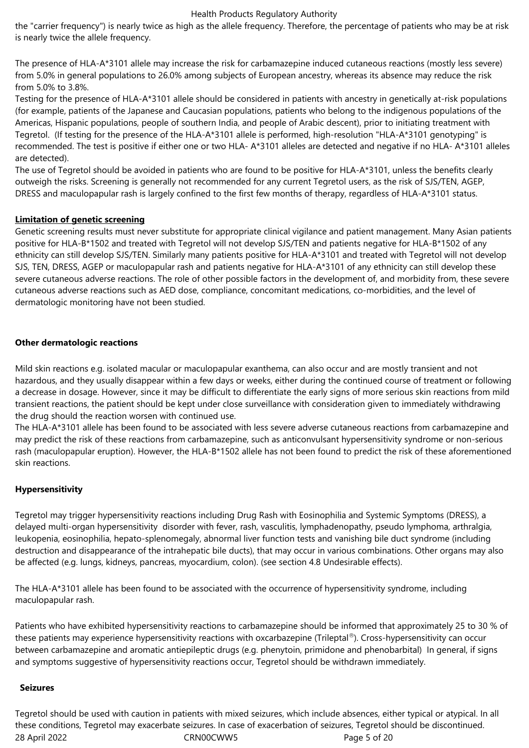the "carrier frequency") is nearly twice as high as the allele frequency. Therefore, the percentage of patients who may be at risk is nearly twice the allele frequency.

The presence of HLA-A\*3101 allele may increase the risk for carbamazepine induced cutaneous reactions (mostly less severe) from 5.0% in general populations to 26.0% among subjects of European ancestry, whereas its absence may reduce the risk from 5.0% to 3.8%.

Testing for the presence of HLA-A\*3101 allele should be considered in patients with ancestry in genetically at-risk populations (for example, patients of the Japanese and Caucasian populations, patients who belong to the indigenous populations of the Americas, Hispanic populations, people of southern India, and people of Arabic descent), prior to initiating treatment with Tegretol. (If testing for the presence of the HLA-A\*3101 allele is performed, high-resolution "HLA-A\*3101 genotyping" is recommended. The test is positive if either one or two HLA- A\*3101 alleles are detected and negative if no HLA- A\*3101 alleles are detected).

The use of Tegretol should be avoided in patients who are found to be positive for HLA-A\*3101, unless the benefits clearly outweigh the risks. Screening is generally not recommended for any current Tegretol users, as the risk of SJS/TEN, AGEP, DRESS and maculopapular rash is largely confined to the first few months of therapy, regardless of HLA-A\*3101 status.

#### **Limitation of genetic screening**

Genetic screening results must never substitute for appropriate clinical vigilance and patient management. Many Asian patients positive for HLA-B\*1502 and treated with Tegretol will not develop SJS/TEN and patients negative for HLA-B\*1502 of any ethnicity can still develop SJS/TEN. Similarly many patients positive for HLA-A\*3101 and treated with Tegretol will not develop SJS, TEN, DRESS, AGEP or maculopapular rash and patients negative for HLA-A\*3101 of any ethnicity can still develop these severe cutaneous adverse reactions. The role of other possible factors in the development of, and morbidity from, these severe cutaneous adverse reactions such as AED dose, compliance, concomitant medications, co-morbidities, and the level of dermatologic monitoring have not been studied.

## **Other dermatologic reactions**

Mild skin reactions e.g. isolated macular or maculopapular exanthema, can also occur and are mostly transient and not hazardous, and they usually disappear within a few days or weeks, either during the continued course of treatment or following a decrease in dosage. However, since it may be difficult to differentiate the early signs of more serious skin reactions from mild transient reactions, the patient should be kept under close surveillance with consideration given to immediately withdrawing the drug should the reaction worsen with continued use.

The HLA-A\*3101 allele has been found to be associated with less severe adverse cutaneous reactions from carbamazepine and may predict the risk of these reactions from carbamazepine, such as anticonvulsant hypersensitivity syndrome or non-serious rash (maculopapular eruption). However, the HLA-B\*1502 allele has not been found to predict the risk of these aforementioned skin reactions.

#### **Hypersensitivity**

Tegretol may trigger hypersensitivity reactions including Drug Rash with Eosinophilia and Systemic Symptoms (DRESS), a delayed multi-organ hypersensitivity disorder with fever, rash, vasculitis, lymphadenopathy, pseudo lymphoma, arthralgia, leukopenia, eosinophilia, hepato-splenomegaly, abnormal liver function tests and vanishing bile duct syndrome (including destruction and disappearance of the intrahepatic bile ducts), that may occur in various combinations. Other organs may also be affected (e.g. lungs, kidneys, pancreas, myocardium, colon). (see section 4.8 Undesirable effects).

The HLA-A\*3101 allele has been found to be associated with the occurrence of hypersensitivity syndrome, including maculopapular rash.

Patients who have exhibited hypersensitivity reactions to carbamazepine should be informed that approximately 25 to 30 % of these patients may experience hypersensitivity reactions with oxcarbazepine (Trileptal®). Cross-hypersensitivity can occur between carbamazepine and aromatic antiepileptic drugs (e.g. phenytoin, primidone and phenobarbital) In general, if signs and symptoms suggestive of hypersensitivity reactions occur, Tegretol should be withdrawn immediately.

#### **Seizures**

28 April 2022 CRN00CWW5 Page 5 of 20 Tegretol should be used with caution in patients with mixed seizures, which include absences, either typical or atypical. In all these conditions, Tegretol may exacerbate seizures. In case of exacerbation of seizures, Tegretol should be discontinued.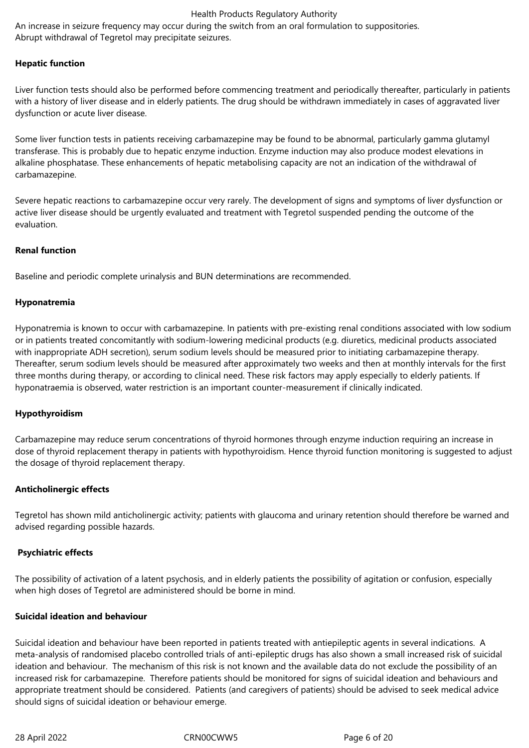An increase in seizure frequency may occur during the switch from an oral formulation to suppositories. Abrupt withdrawal of Tegretol may precipitate seizures.

#### **Hepatic function**

Liver function tests should also be performed before commencing treatment and periodically thereafter, particularly in patients with a history of liver disease and in elderly patients. The drug should be withdrawn immediately in cases of aggravated liver dysfunction or acute liver disease.

Some liver function tests in patients receiving carbamazepine may be found to be abnormal, particularly gamma glutamyl transferase. This is probably due to hepatic enzyme induction. Enzyme induction may also produce modest elevations in alkaline phosphatase. These enhancements of hepatic metabolising capacity are not an indication of the withdrawal of carbamazepine.

Severe hepatic reactions to carbamazepine occur very rarely. The development of signs and symptoms of liver dysfunction or active liver disease should be urgently evaluated and treatment with Tegretol suspended pending the outcome of the evaluation.

#### **Renal function**

Baseline and periodic complete urinalysis and BUN determinations are recommended.

#### **Hyponatremia**

Hyponatremia is known to occur with carbamazepine. In patients with pre-existing renal conditions associated with low sodium or in patients treated concomitantly with sodium-lowering medicinal products (e.g. diuretics, medicinal products associated with inappropriate ADH secretion), serum sodium levels should be measured prior to initiating carbamazepine therapy. Thereafter, serum sodium levels should be measured after approximately two weeks and then at monthly intervals for the first three months during therapy, or according to clinical need. These risk factors may apply especially to elderly patients. If hyponatraemia is observed, water restriction is an important counter-measurement if clinically indicated.

#### **Hypothyroidism**

Carbamazepine may reduce serum concentrations of thyroid hormones through enzyme induction requiring an increase in dose of thyroid replacement therapy in patients with hypothyroidism. Hence thyroid function monitoring is suggested to adjust the dosage of thyroid replacement therapy.

#### **Anticholinergic effects**

Tegretol has shown mild anticholinergic activity; patients with glaucoma and urinary retention should therefore be warned and advised regarding possible hazards.

#### **Psychiatric effects**

The possibility of activation of a latent psychosis, and in elderly patients the possibility of agitation or confusion, especially when high doses of Tegretol are administered should be borne in mind.

#### **Suicidal ideation and behaviour**

Suicidal ideation and behaviour have been reported in patients treated with antiepileptic agents in several indications. A meta-analysis of randomised placebo controlled trials of anti-epileptic drugs has also shown a small increased risk of suicidal ideation and behaviour. The mechanism of this risk is not known and the available data do not exclude the possibility of an increased risk for carbamazepine. Therefore patients should be monitored for signs of suicidal ideation and behaviours and appropriate treatment should be considered. Patients (and caregivers of patients) should be advised to seek medical advice should signs of suicidal ideation or behaviour emerge.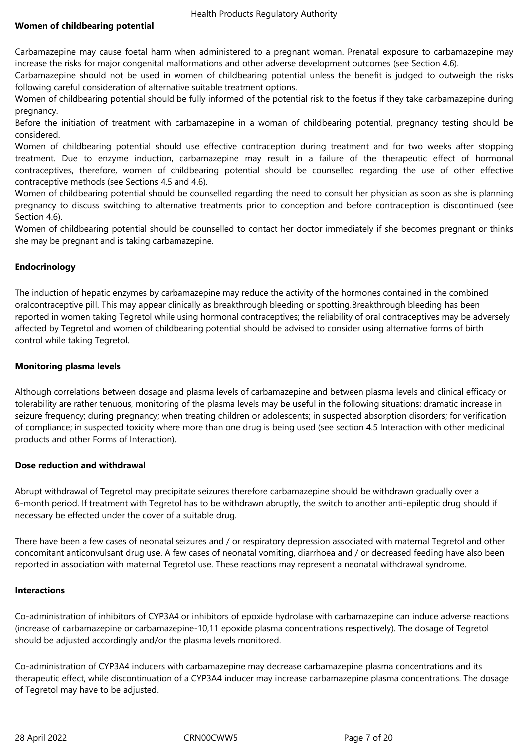Carbamazepine may cause foetal harm when administered to a pregnant woman. Prenatal exposure to carbamazepine may increase the risks for major congenital malformations and other adverse development outcomes (see Section 4.6).

Carbamazepine should not be used in women of childbearing potential unless the benefit is judged to outweigh the risks following careful consideration of alternative suitable treatment options.

Women of childbearing potential should be fully informed of the potential risk to the foetus if they take carbamazepine during pregnancy.

Before the initiation of treatment with carbamazepine in a woman of childbearing potential, pregnancy testing should be considered.

Women of childbearing potential should use effective contraception during treatment and for two weeks after stopping treatment. Due to enzyme induction, carbamazepine may result in a failure of the therapeutic effect of hormonal contraceptives, therefore, women of childbearing potential should be counselled regarding the use of other effective contraceptive methods (see Sections 4.5 and 4.6).

Women of childbearing potential should be counselled regarding the need to consult her physician as soon as she is planning pregnancy to discuss switching to alternative treatments prior to conception and before contraception is discontinued (see Section 4.6).

Women of childbearing potential should be counselled to contact her doctor immediately if she becomes pregnant or thinks she may be pregnant and is taking carbamazepine.

## **Endocrinology**

The induction of hepatic enzymes by carbamazepine may reduce the activity of the hormones contained in the combined oralcontraceptive pill. This may appear clinically as breakthrough bleeding or spotting.Breakthrough bleeding has been reported in women taking Tegretol while using hormonal contraceptives; the reliability of oral contraceptives may be adversely affected by Tegretol and women of childbearing potential should be advised to consider using alternative forms of birth control while taking Tegretol.

## **Monitoring plasma levels**

Although correlations between dosage and plasma levels of carbamazepine and between plasma levels and clinical efficacy or tolerability are rather tenuous, monitoring of the plasma levels may be useful in the following situations: dramatic increase in seizure frequency; during pregnancy; when treating children or adolescents; in suspected absorption disorders; for verification of compliance; in suspected toxicity where more than one drug is being used (see section 4.5 Interaction with other medicinal products and other Forms of Interaction).

## **Dose reduction and withdrawal**

Abrupt withdrawal of Tegretol may precipitate seizures therefore carbamazepine should be withdrawn gradually over a 6-month period. If treatment with Tegretol has to be withdrawn abruptly, the switch to another anti-epileptic drug should if necessary be effected under the cover of a suitable drug.

There have been a few cases of neonatal seizures and / or respiratory depression associated with maternal Tegretol and other concomitant anticonvulsant drug use. A few cases of neonatal vomiting, diarrhoea and / or decreased feeding have also been reported in association with maternal Tegretol use. These reactions may represent a neonatal withdrawal syndrome.

#### **Interactions**

Co-administration of inhibitors of CYP3A4 or inhibitors of epoxide hydrolase with carbamazepine can induce adverse reactions (increase of carbamazepine or carbamazepine-10,11 epoxide plasma concentrations respectively). The dosage of Tegretol should be adjusted accordingly and/or the plasma levels monitored.

Co-administration of CYP3A4 inducers with carbamazepine may decrease carbamazepine plasma concentrations and its therapeutic effect, while discontinuation of a CYP3A4 inducer may increase carbamazepine plasma concentrations. The dosage of Tegretol may have to be adjusted.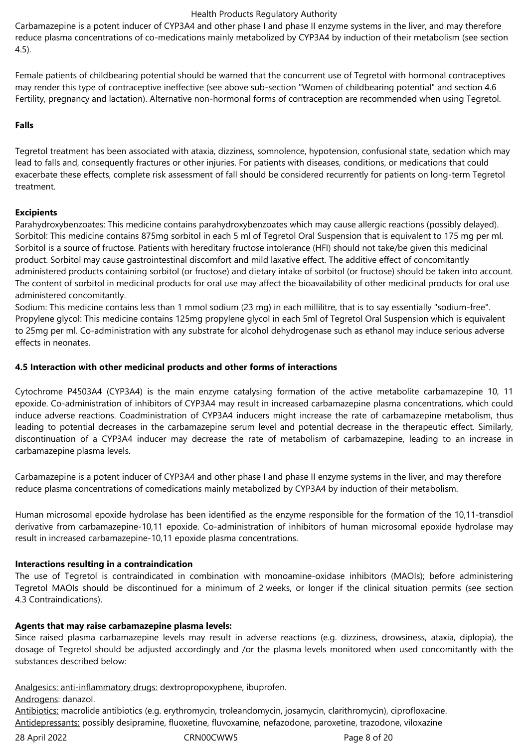Carbamazepine is a potent inducer of CYP3A4 and other phase I and phase II enzyme systems in the liver, and may therefore reduce plasma concentrations of co-medications mainly metabolized by CYP3A4 by induction of their metabolism (see section 4.5).

Female patients of childbearing potential should be warned that the concurrent use of Tegretol with hormonal contraceptives may render this type of contraceptive ineffective (see above sub-section "Women of childbearing potential" and section 4.6 Fertility, pregnancy and lactation). Alternative non-hormonal forms of contraception are recommended when using Tegretol.

### **Falls**

Tegretol treatment has been associated with ataxia, dizziness, somnolence, hypotension, confusional state, sedation which may lead to falls and, consequently fractures or other injuries. For patients with diseases, conditions, or medications that could exacerbate these effects, complete risk assessment of fall should be considered recurrently for patients on long-term Tegretol treatment.

## **Excipients**

Parahydroxybenzoates: This medicine contains parahydroxybenzoates which may cause allergic reactions (possibly delayed). Sorbitol: This medicine contains 875mg sorbitol in each 5 ml of Tegretol Oral Suspension that is equivalent to 175 mg per ml. Sorbitol is a source of fructose. Patients with hereditary fructose intolerance (HFI) should not take/be given this medicinal product. Sorbitol may cause gastrointestinal discomfort and mild laxative effect. The additive effect of concomitantly administered products containing sorbitol (or fructose) and dietary intake of sorbitol (or fructose) should be taken into account. The content of sorbitol in medicinal products for oral use may affect the bioavailability of other medicinal products for oral use administered concomitantly.

Sodium: This medicine contains less than 1 mmol sodium (23 mg) in each millilitre, that is to say essentially "sodium-free". Propylene glycol: This medicine contains 125mg propylene glycol in each 5ml of Tegretol Oral Suspension which is equivalent to 25mg per ml. Co-administration with any substrate for alcohol dehydrogenase such as ethanol may induce serious adverse effects in neonates.

#### **4.5 Interaction with other medicinal products and other forms of interactions**

Cytochrome P4503A4 (CYP3A4) is the main enzyme catalysing formation of the active metabolite carbamazepine 10, 11 epoxide. Co-administration of inhibitors of CYP3A4 may result in increased carbamazepine plasma concentrations, which could induce adverse reactions. Coadministration of CYP3A4 inducers might increase the rate of carbamazepine metabolism, thus leading to potential decreases in the carbamazepine serum level and potential decrease in the therapeutic effect. Similarly, discontinuation of a CYP3A4 inducer may decrease the rate of metabolism of carbamazepine, leading to an increase in carbamazepine plasma levels.

Carbamazepine is a potent inducer of CYP3A4 and other phase I and phase II enzyme systems in the liver, and may therefore reduce plasma concentrations of comedications mainly metabolized by CYP3A4 by induction of their metabolism.

Human microsomal epoxide hydrolase has been identified as the enzyme responsible for the formation of the 10,11-transdiol derivative from carbamazepine-10,11 epoxide. Co-administration of inhibitors of human microsomal epoxide hydrolase may result in increased carbamazepine-10,11 epoxide plasma concentrations.

#### **Interactions resulting in a contraindication**

The use of Tegretol is contraindicated in combination with monoamine-oxidase inhibitors (MAOIs); before administering Tegretol MAOIs should be discontinued for a minimum of 2 weeks, or longer if the clinical situation permits (see section 4.3 Contraindications).

#### **Agents that may raise carbamazepine plasma levels:**

Since raised plasma carbamazepine levels may result in adverse reactions (e.g. dizziness, drowsiness, ataxia, diplopia), the dosage of Tegretol should be adjusted accordingly and /or the plasma levels monitored when used concomitantly with the substances described below:

Analgesics: anti-inflammatory drugs: dextropropoxyphene, ibuprofen.

Androgens: danazol.

Antibiotics: macrolide antibiotics (e.g. erythromycin, troleandomycin, josamycin, clarithromycin), ciprofloxacine. Antidepressants: possibly desipramine, fluoxetine, fluvoxamine, nefazodone, paroxetine, trazodone, viloxazine

28 April 2022 CRN00CWW5 Page 8 of 20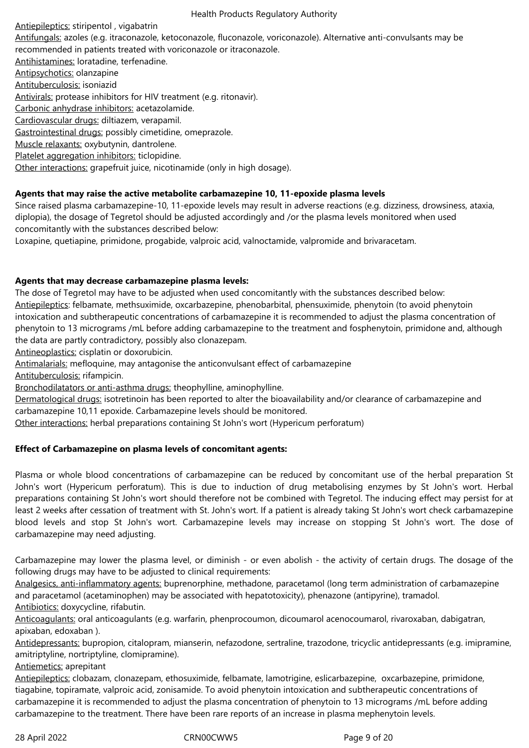Antiepileptics: stiripentol , vigabatrin Antifungals: azoles (e.g. itraconazole, ketoconazole, fluconazole, voriconazole). Alternative anti-convulsants may be recommended in patients treated with voriconazole or itraconazole. Antihistamines: loratadine, terfenadine. Antipsychotics: olanzapine Antituberculosis: isoniazid Antivirals: protease inhibitors for HIV treatment (e.g. ritonavir). Carbonic anhydrase inhibitors: acetazolamide. Cardiovascular drugs: diltiazem, verapamil. Gastrointestinal drugs: possibly cimetidine, omeprazole. Muscle relaxants: oxybutynin, dantrolene. Platelet aggregation inhibitors: ticlopidine.

Other interactions: grapefruit juice, nicotinamide (only in high dosage).

## **Agents that may raise the active metabolite carbamazepine 10, 11-epoxide plasma levels**

Since raised plasma carbamazepine-10, 11-epoxide levels may result in adverse reactions (e.g. dizziness, drowsiness, ataxia, diplopia), the dosage of Tegretol should be adjusted accordingly and /or the plasma levels monitored when used concomitantly with the substances described below:

Loxapine, quetiapine, primidone, progabide, valproic acid, valnoctamide, valpromide and brivaracetam.

#### **Agents that may decrease carbamazepine plasma levels:**

The dose of Tegretol may have to be adjusted when used concomitantly with the substances described below: Antiepileptics: felbamate, methsuximide, oxcarbazepine, phenobarbital, phensuximide, phenytoin (to avoid phenytoin intoxication and subtherapeutic concentrations of carbamazepine it is recommended to adjust the plasma concentration of phenytoin to 13 micrograms /mL before adding carbamazepine to the treatment and fosphenytoin, primidone and, although the data are partly contradictory, possibly also clonazepam.

Antineoplastics: cisplatin or doxorubicin.

Antimalarials: mefloquine, may antagonise the anticonvulsant effect of carbamazepine

Antituberculosis: rifampicin.

Bronchodilatators or anti-asthma drugs: theophylline, aminophylline.

Dermatological drugs: isotretinoin has been reported to alter the bioavailability and/or clearance of carbamazepine and carbamazepine 10,11 epoxide. Carbamazepine levels should be monitored.

Other interactions: herbal preparations containing St John's wort (Hypericum perforatum)

## **Effect of Carbamazepine on plasma levels of concomitant agents:**

Plasma or whole blood concentrations of carbamazepine can be reduced by concomitant use of the herbal preparation St John's wort (Hypericum perforatum). This is due to induction of drug metabolising enzymes by St John's wort. Herbal preparations containing St John's wort should therefore not be combined with Tegretol. The inducing effect may persist for at least 2 weeks after cessation of treatment with St. John's wort. If a patient is already taking St John's wort check carbamazepine blood levels and stop St John's wort. Carbamazepine levels may increase on stopping St John's wort. The dose of carbamazepine may need adjusting.

Carbamazepine may lower the plasma level, or diminish - or even abolish - the activity of certain drugs. The dosage of the following drugs may have to be adjusted to clinical requirements:

Analgesics, anti-inflammatory agents: buprenorphine, methadone, paracetamol (long term administration of carbamazepine and paracetamol (acetaminophen) may be associated with hepatotoxicity), phenazone (antipyrine), tramadol. Antibiotics: doxycycline, rifabutin.

Anticoagulants: oral anticoagulants (e.g. warfarin, phenprocoumon, dicoumarol acenocoumarol, rivaroxaban, dabigatran, apixaban, edoxaban ).

Antidepressants: bupropion, citalopram, mianserin, nefazodone, sertraline, trazodone, tricyclic antidepressants (e.g. imipramine, amitriptyline, nortriptyline, clomipramine).

Antiemetics: aprepitant

Antiepileptics: clobazam, clonazepam, ethosuximide, felbamate, lamotrigine, eslicarbazepine, oxcarbazepine, primidone, tiagabine, topiramate, valproic acid, zonisamide. To avoid phenytoin intoxication and subtherapeutic concentrations of carbamazepine it is recommended to adjust the plasma concentration of phenytoin to 13 micrograms /mL before adding carbamazepine to the treatment. There have been rare reports of an increase in plasma mephenytoin levels.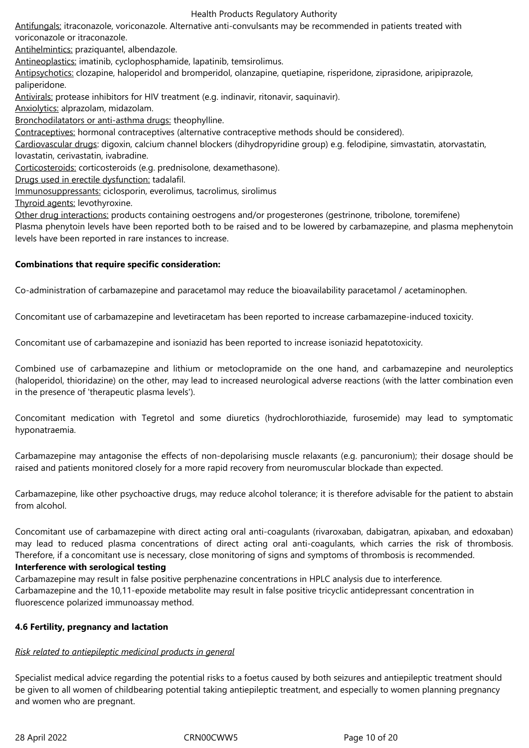Antifungals: itraconazole, voriconazole. Alternative anti-convulsants may be recommended in patients treated with voriconazole or itraconazole.

Antihelmintics: praziquantel, albendazole.

Antineoplastics: imatinib, cyclophosphamide, lapatinib, temsirolimus.

Antipsychotics: clozapine, haloperidol and bromperidol, olanzapine, quetiapine, risperidone, ziprasidone, aripiprazole, paliperidone.

Antivirals: protease inhibitors for HIV treatment (e.g. indinavir, ritonavir, saquinavir).

Anxiolytics: alprazolam, midazolam.

Bronchodilatators or anti-asthma drugs: theophylline.

Contraceptives: hormonal contraceptives (alternative contraceptive methods should be considered).

Cardiovascular drugs: digoxin, calcium channel blockers (dihydropyridine group) e.g. felodipine, simvastatin, atorvastatin, lovastatin, cerivastatin, ivabradine.

Corticosteroids: corticosteroids (e.g. prednisolone, dexamethasone).

Drugs used in erectile dysfunction: tadalafil.

Immunosuppressants: ciclosporin, everolimus, tacrolimus, sirolimus

Thyroid agents: levothyroxine.

Other drug interactions: products containing oestrogens and/or progesterones (gestrinone, tribolone, toremifene) Plasma phenytoin levels have been reported both to be raised and to be lowered by carbamazepine, and plasma mephenytoin

levels have been reported in rare instances to increase.

## **Combinations that require specific consideration:**

Co-administration of carbamazepine and paracetamol may reduce the bioavailability paracetamol / acetaminophen.

Concomitant use of carbamazepine and levetiracetam has been reported to increase carbamazepine-induced toxicity.

Concomitant use of carbamazepine and isoniazid has been reported to increase isoniazid hepatotoxicity.

Combined use of carbamazepine and lithium or metoclopramide on the one hand, and carbamazepine and neuroleptics (haloperidol, thioridazine) on the other, may lead to increased neurological adverse reactions (with the latter combination even in the presence of 'therapeutic plasma levels').

Concomitant medication with Tegretol and some diuretics (hydrochlorothiazide, furosemide) may lead to symptomatic hyponatraemia.

Carbamazepine may antagonise the effects of non-depolarising muscle relaxants (e.g. pancuronium); their dosage should be raised and patients monitored closely for a more rapid recovery from neuromuscular blockade than expected.

Carbamazepine, like other psychoactive drugs, may reduce alcohol tolerance; it is therefore advisable for the patient to abstain from alcohol.

Concomitant use of carbamazepine with direct acting oral anti-coagulants (rivaroxaban, dabigatran, apixaban, and edoxaban) may lead to reduced plasma concentrations of direct acting oral anti-coagulants, which carries the risk of thrombosis. Therefore, if a concomitant use is necessary, close monitoring of signs and symptoms of thrombosis is recommended.

#### **Interference with serological testing**

Carbamazepine may result in false positive perphenazine concentrations in HPLC analysis due to interference. Carbamazepine and the 10,11-epoxide metabolite may result in false positive tricyclic antidepressant concentration in fluorescence polarized immunoassay method.

## **4.6 Fertility, pregnancy and lactation**

## *Risk related to antiepileptic medicinal products in general*

Specialist medical advice regarding the potential risks to a foetus caused by both seizures and antiepileptic treatment should be given to all women of childbearing potential taking antiepileptic treatment, and especially to women planning pregnancy and women who are pregnant.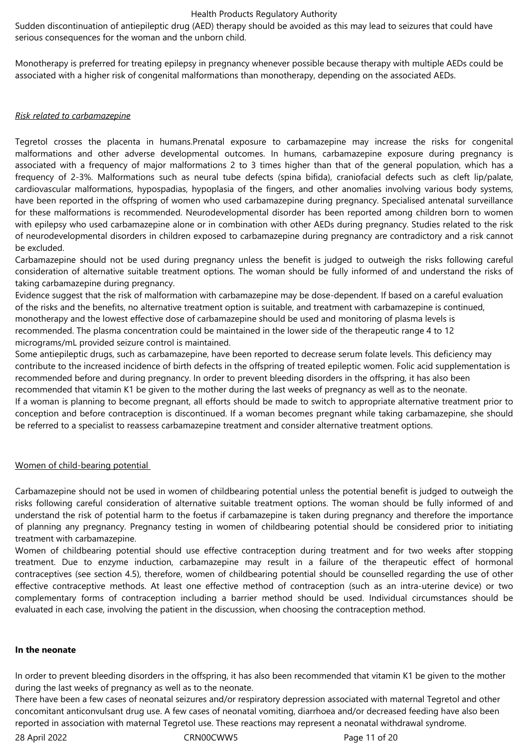Sudden discontinuation of antiepileptic drug (AED) therapy should be avoided as this may lead to seizures that could have serious consequences for the woman and the unborn child.

Monotherapy is preferred for treating epilepsy in pregnancy whenever possible because therapy with multiple AEDs could be associated with a higher risk of congenital malformations than monotherapy, depending on the associated AEDs.

#### *Risk related to carbamazepine*

Tegretol crosses the placenta in humans.Prenatal exposure to carbamazepine may increase the risks for congenital malformations and other adverse developmental outcomes. In humans, carbamazepine exposure during pregnancy is associated with a frequency of major malformations 2 to 3 times higher than that of the general population, which has a frequency of 2-3%. Malformations such as neural tube defects (spina bifida), craniofacial defects such as cleft lip/palate, cardiovascular malformations, hypospadias, hypoplasia of the fingers, and other anomalies involving various body systems, have been reported in the offspring of women who used carbamazepine during pregnancy. Specialised antenatal surveillance for these malformations is recommended. Neurodevelopmental disorder has been reported among children born to women with epilepsy who used carbamazepine alone or in combination with other AEDs during pregnancy. Studies related to the risk of neurodevelopmental disorders in children exposed to carbamazepine during pregnancy are contradictory and a risk cannot be excluded.

Carbamazepine should not be used during pregnancy unless the benefit is judged to outweigh the risks following careful consideration of alternative suitable treatment options. The woman should be fully informed of and understand the risks of taking carbamazepine during pregnancy.

Evidence suggest that the risk of malformation with carbamazepine may be dose-dependent. If based on a careful evaluation of the risks and the benefits, no alternative treatment option is suitable, and treatment with carbamazepine is continued, monotherapy and the lowest effective dose of carbamazepine should be used and monitoring of plasma levels is recommended. The plasma concentration could be maintained in the lower side of the therapeutic range 4 to 12 micrograms/mL provided seizure control is maintained.

Some antiepileptic drugs, such as carbamazepine, have been reported to decrease serum folate levels. This deficiency may contribute to the increased incidence of birth defects in the offspring of treated epileptic women. Folic acid supplementation is recommended before and during pregnancy. In order to prevent bleeding disorders in the offspring, it has also been recommended that vitamin K1 be given to the mother during the last weeks of pregnancy as well as to the neonate. If a woman is planning to become pregnant, all efforts should be made to switch to appropriate alternative treatment prior to conception and before contraception is discontinued. If a woman becomes pregnant while taking carbamazepine, she should

be referred to a specialist to reassess carbamazepine treatment and consider alternative treatment options.

#### Women of child-bearing potential

Carbamazepine should not be used in women of childbearing potential unless the potential benefit is judged to outweigh the risks following careful consideration of alternative suitable treatment options. The woman should be fully informed of and understand the risk of potential harm to the foetus if carbamazepine is taken during pregnancy and therefore the importance of planning any pregnancy. Pregnancy testing in women of childbearing potential should be considered prior to initiating treatment with carbamazepine.

Women of childbearing potential should use effective contraception during treatment and for two weeks after stopping treatment. Due to enzyme induction, carbamazepine may result in a failure of the therapeutic effect of hormonal contraceptives (see section 4.5), therefore, women of childbearing potential should be counselled regarding the use of other effective contraceptive methods. At least one effective method of contraception (such as an intra-uterine device) or two complementary forms of contraception including a barrier method should be used. Individual circumstances should be evaluated in each case, involving the patient in the discussion, when choosing the contraception method.

#### **In the neonate**

In order to prevent bleeding disorders in the offspring, it has also been recommended that vitamin K1 be given to the mother during the last weeks of pregnancy as well as to the neonate.

There have been a few cases of neonatal seizures and/or respiratory depression associated with maternal Tegretol and other concomitant anticonvulsant drug use. A few cases of neonatal vomiting, diarrhoea and/or decreased feeding have also been reported in association with maternal Tegretol use. These reactions may represent a neonatal withdrawal syndrome.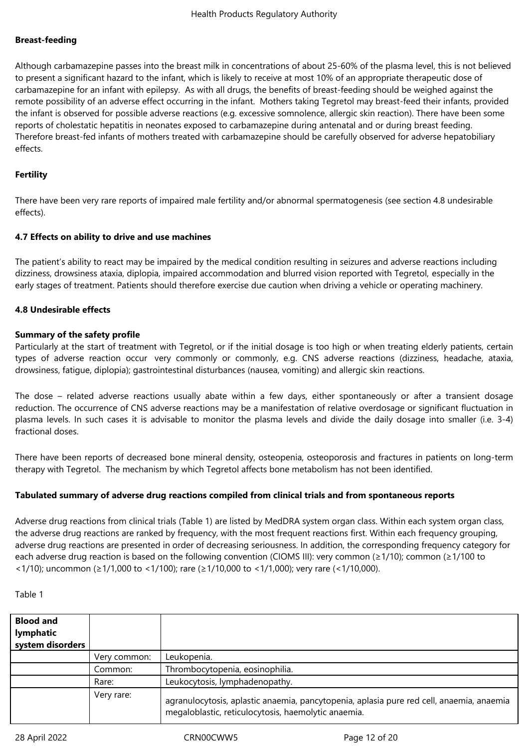## **Breast-feeding**

Although carbamazepine passes into the breast milk in concentrations of about 25-60% of the plasma level, this is not believed to present a significant hazard to the infant, which is likely to receive at most 10% of an appropriate therapeutic dose of carbamazepine for an infant with epilepsy. As with all drugs, the benefits of breast-feeding should be weighed against the remote possibility of an adverse effect occurring in the infant. Mothers taking Tegretol may breast-feed their infants, provided the infant is observed for possible adverse reactions (e.g. excessive somnolence, allergic skin reaction). There have been some reports of cholestatic hepatitis in neonates exposed to carbamazepine during antenatal and or during breast feeding. Therefore breast-fed infants of mothers treated with carbamazepine should be carefully observed for adverse hepatobiliary effects.

### **Fertility**

There have been very rare reports of impaired male fertility and/or abnormal spermatogenesis (see section 4.8 undesirable effects).

#### **4.7 Effects on ability to drive and use machines**

The patient's ability to react may be impaired by the medical condition resulting in seizures and adverse reactions including dizziness, drowsiness ataxia, diplopia, impaired accommodation and blurred vision reported with Tegretol, especially in the early stages of treatment. Patients should therefore exercise due caution when driving a vehicle or operating machinery.

#### **4.8 Undesirable effects**

#### **Summary of the safety profile**

Particularly at the start of treatment with Tegretol, or if the initial dosage is too high or when treating elderly patients, certain types of adverse reaction occur very commonly or commonly, e.g. CNS adverse reactions (dizziness, headache, ataxia, drowsiness, fatigue, diplopia); gastrointestinal disturbances (nausea, vomiting) and allergic skin reactions.

The dose – related adverse reactions usually abate within a few days, either spontaneously or after a transient dosage reduction. The occurrence of CNS adverse reactions may be a manifestation of relative overdosage or significant fluctuation in plasma levels. In such cases it is advisable to monitor the plasma levels and divide the daily dosage into smaller (i.e. 3-4) fractional doses.

There have been reports of decreased bone mineral density, osteopenia, osteoporosis and fractures in patients on long-term therapy with Tegretol. The mechanism by which Tegretol affects bone metabolism has not been identified.

#### **Tabulated summary of adverse drug reactions compiled from clinical trials and from spontaneous reports**

Adverse drug reactions from clinical trials (Table 1) are listed by MedDRA system organ class. Within each system organ class, the adverse drug reactions are ranked by frequency, with the most frequent reactions first. Within each frequency grouping, adverse drug reactions are presented in order of decreasing seriousness. In addition, the corresponding frequency category for each adverse drug reaction is based on the following convention (CIOMS III): very common (≥1/10); common (≥1/100 to <1/10); uncommon (≥1/1,000 to <1/100); rare (≥1/10,000 to <1/1,000); very rare (<1/10,000).

| л<br>FILI |  |
|-----------|--|
|-----------|--|

| <b>Blood and</b><br>lymphatic<br>system disorders |              |                                                                                                                                                 |
|---------------------------------------------------|--------------|-------------------------------------------------------------------------------------------------------------------------------------------------|
|                                                   | Very common: | Leukopenia.                                                                                                                                     |
|                                                   | Common:      | Thrombocytopenia, eosinophilia.                                                                                                                 |
|                                                   | Rare:        | Leukocytosis, lymphadenopathy.                                                                                                                  |
|                                                   | Very rare:   | agranulocytosis, aplastic anaemia, pancytopenia, aplasia pure red cell, anaemia, anaemia<br>megaloblastic, reticulocytosis, haemolytic anaemia. |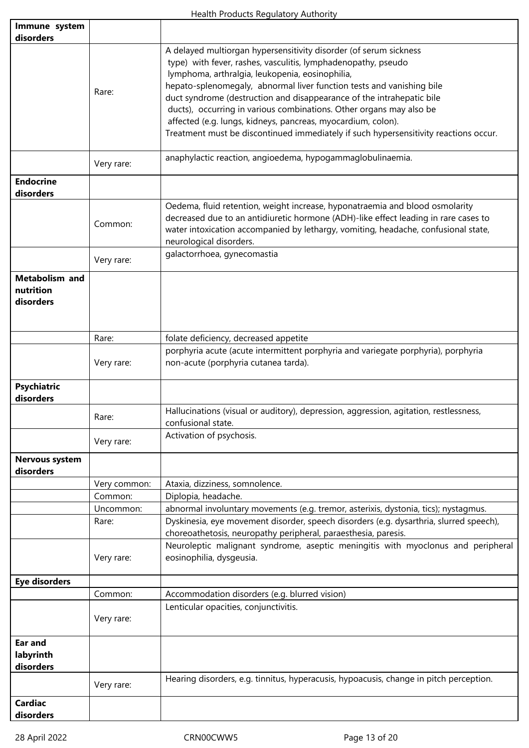| Immune system<br>disorders                      |              |                                                                                                                                                                                                                                                                                                                                         |
|-------------------------------------------------|--------------|-----------------------------------------------------------------------------------------------------------------------------------------------------------------------------------------------------------------------------------------------------------------------------------------------------------------------------------------|
|                                                 | Rare:        | A delayed multiorgan hypersensitivity disorder (of serum sickness<br>type) with fever, rashes, vasculitis, lymphadenopathy, pseudo<br>lymphoma, arthralgia, leukopenia, eosinophilia,<br>hepato-splenomegaly, abnormal liver function tests and vanishing bile<br>duct syndrome (destruction and disappearance of the intrahepatic bile |
|                                                 |              | ducts), occurring in various combinations. Other organs may also be<br>affected (e.g. lungs, kidneys, pancreas, myocardium, colon).<br>Treatment must be discontinued immediately if such hypersensitivity reactions occur.                                                                                                             |
|                                                 | Very rare:   | anaphylactic reaction, angioedema, hypogammaglobulinaemia.                                                                                                                                                                                                                                                                              |
| <b>Endocrine</b><br>disorders                   |              |                                                                                                                                                                                                                                                                                                                                         |
|                                                 | Common:      | Oedema, fluid retention, weight increase, hyponatraemia and blood osmolarity<br>decreased due to an antidiuretic hormone (ADH)-like effect leading in rare cases to<br>water intoxication accompanied by lethargy, vomiting, headache, confusional state,<br>neurological disorders.                                                    |
|                                                 | Very rare:   | galactorrhoea, gynecomastia                                                                                                                                                                                                                                                                                                             |
| <b>Metabolism and</b><br>nutrition<br>disorders |              |                                                                                                                                                                                                                                                                                                                                         |
|                                                 | Rare:        | folate deficiency, decreased appetite                                                                                                                                                                                                                                                                                                   |
|                                                 | Very rare:   | porphyria acute (acute intermittent porphyria and variegate porphyria), porphyria<br>non-acute (porphyria cutanea tarda).                                                                                                                                                                                                               |
| <b>Psychiatric</b><br>disorders                 |              |                                                                                                                                                                                                                                                                                                                                         |
|                                                 | Rare:        | Hallucinations (visual or auditory), depression, aggression, agitation, restlessness,<br>confusional state.                                                                                                                                                                                                                             |
|                                                 | Very rare:   | Activation of psychosis.                                                                                                                                                                                                                                                                                                                |
| <b>Nervous system</b><br>disorders              |              |                                                                                                                                                                                                                                                                                                                                         |
|                                                 | Very common: | Ataxia, dizziness, somnolence.                                                                                                                                                                                                                                                                                                          |
|                                                 | Common:      | Diplopia, headache.                                                                                                                                                                                                                                                                                                                     |
|                                                 | Uncommon:    | abnormal involuntary movements (e.g. tremor, asterixis, dystonia, tics); nystagmus.                                                                                                                                                                                                                                                     |
|                                                 | Rare:        | Dyskinesia, eye movement disorder, speech disorders (e.g. dysarthria, slurred speech),<br>choreoathetosis, neuropathy peripheral, paraesthesia, paresis.                                                                                                                                                                                |
|                                                 | Very rare:   | Neuroleptic malignant syndrome, aseptic meningitis with myoclonus and peripheral<br>eosinophilia, dysgeusia.                                                                                                                                                                                                                            |
| <b>Eye disorders</b>                            |              |                                                                                                                                                                                                                                                                                                                                         |
|                                                 | Common:      | Accommodation disorders (e.g. blurred vision)                                                                                                                                                                                                                                                                                           |
|                                                 | Very rare:   | Lenticular opacities, conjunctivitis.                                                                                                                                                                                                                                                                                                   |
| Ear and<br>labyrinth<br>disorders               |              |                                                                                                                                                                                                                                                                                                                                         |
|                                                 | Very rare:   | Hearing disorders, e.g. tinnitus, hyperacusis, hypoacusis, change in pitch perception.                                                                                                                                                                                                                                                  |
| <b>Cardiac</b><br>disorders                     |              |                                                                                                                                                                                                                                                                                                                                         |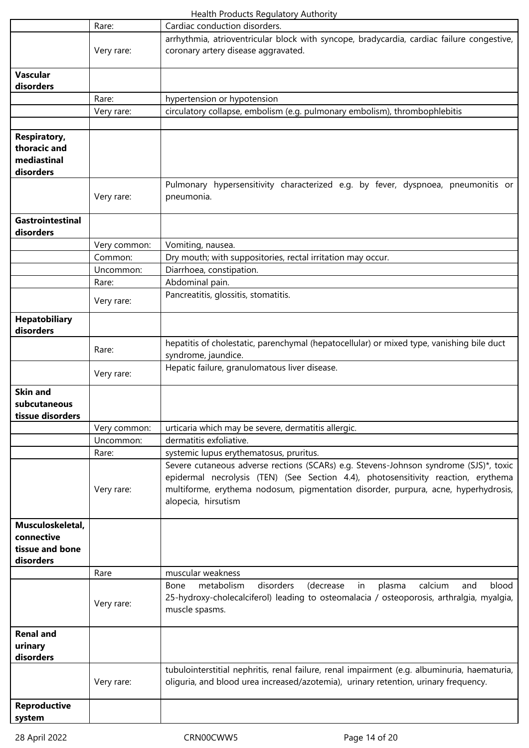|                                                                | Rare:        | Cardiac conduction disorders.                                                                                                                                                                                                                                                           |
|----------------------------------------------------------------|--------------|-----------------------------------------------------------------------------------------------------------------------------------------------------------------------------------------------------------------------------------------------------------------------------------------|
|                                                                |              | arrhythmia, atrioventricular block with syncope, bradycardia, cardiac failure congestive,                                                                                                                                                                                               |
|                                                                | Very rare:   | coronary artery disease aggravated.                                                                                                                                                                                                                                                     |
| <b>Vascular</b>                                                |              |                                                                                                                                                                                                                                                                                         |
| disorders                                                      |              |                                                                                                                                                                                                                                                                                         |
|                                                                | Rare:        | hypertension or hypotension                                                                                                                                                                                                                                                             |
|                                                                | Very rare:   | circulatory collapse, embolism (e.g. pulmonary embolism), thrombophlebitis                                                                                                                                                                                                              |
|                                                                |              |                                                                                                                                                                                                                                                                                         |
| <b>Respiratory,</b><br>thoracic and<br>mediastinal             |              |                                                                                                                                                                                                                                                                                         |
| disorders                                                      |              |                                                                                                                                                                                                                                                                                         |
|                                                                | Very rare:   | Pulmonary hypersensitivity characterized e.g. by fever, dyspnoea, pneumonitis or<br>pneumonia.                                                                                                                                                                                          |
| <b>Gastrointestinal</b><br>disorders                           |              |                                                                                                                                                                                                                                                                                         |
|                                                                | Very common: | Vomiting, nausea.                                                                                                                                                                                                                                                                       |
|                                                                | Common:      | Dry mouth; with suppositories, rectal irritation may occur.                                                                                                                                                                                                                             |
|                                                                | Uncommon:    | Diarrhoea, constipation.                                                                                                                                                                                                                                                                |
|                                                                | Rare:        | Abdominal pain.                                                                                                                                                                                                                                                                         |
|                                                                | Very rare:   | Pancreatitis, glossitis, stomatitis.                                                                                                                                                                                                                                                    |
| <b>Hepatobiliary</b><br>disorders                              |              |                                                                                                                                                                                                                                                                                         |
|                                                                | Rare:        | hepatitis of cholestatic, parenchymal (hepatocellular) or mixed type, vanishing bile duct<br>syndrome, jaundice.                                                                                                                                                                        |
|                                                                | Very rare:   | Hepatic failure, granulomatous liver disease.                                                                                                                                                                                                                                           |
| <b>Skin and</b><br>subcutaneous<br>tissue disorders            |              |                                                                                                                                                                                                                                                                                         |
|                                                                | Very common: | urticaria which may be severe, dermatitis allergic.                                                                                                                                                                                                                                     |
|                                                                | Uncommon:    | dermatitis exfoliative.                                                                                                                                                                                                                                                                 |
|                                                                | Rare:        | systemic lupus erythematosus, pruritus.                                                                                                                                                                                                                                                 |
|                                                                | Very rare:   | Severe cutaneous adverse rections (SCARs) e.g. Stevens-Johnson syndrome (SJS)*, toxic<br>epidermal necrolysis (TEN) (See Section 4.4), photosensitivity reaction, erythema<br>multiforme, erythema nodosum, pigmentation disorder, purpura, acne, hyperhydrosis,<br>alopecia, hirsutism |
| Musculoskeletal,<br>connective<br>tissue and bone<br>disorders |              |                                                                                                                                                                                                                                                                                         |
|                                                                | Rare         | muscular weakness                                                                                                                                                                                                                                                                       |
|                                                                | Very rare:   | disorders<br>Bone<br>metabolism<br>(decrease<br>calcium<br>blood<br>in<br>plasma<br>and<br>25-hydroxy-cholecalciferol) leading to osteomalacia / osteoporosis, arthralgia, myalgia,<br>muscle spasms.                                                                                   |
| <b>Renal and</b><br>urinary<br>disorders                       |              |                                                                                                                                                                                                                                                                                         |
|                                                                | Very rare:   | tubulointerstitial nephritis, renal failure, renal impairment (e.g. albuminuria, haematuria,<br>oliguria, and blood urea increased/azotemia), urinary retention, urinary frequency.                                                                                                     |
| <b>Reproductive</b><br>system                                  |              |                                                                                                                                                                                                                                                                                         |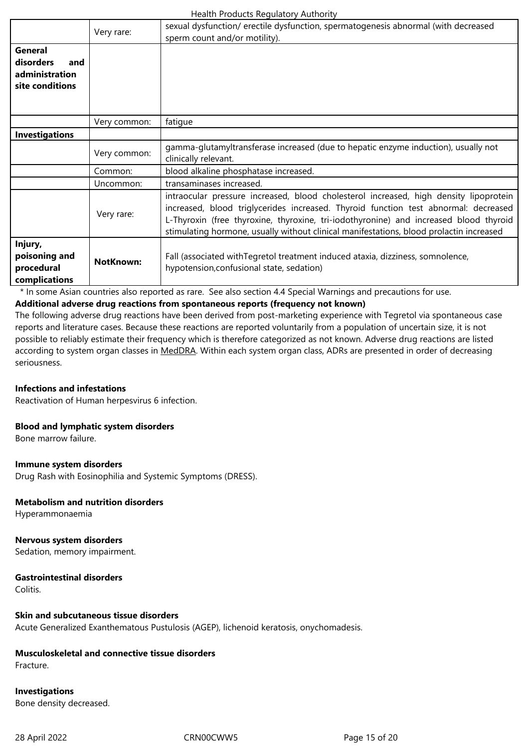| really readers regardery right-orig                              |                  |                                                                                                                                                                                                                                                                                                                                                                  |  |
|------------------------------------------------------------------|------------------|------------------------------------------------------------------------------------------------------------------------------------------------------------------------------------------------------------------------------------------------------------------------------------------------------------------------------------------------------------------|--|
|                                                                  | Very rare:       | sexual dysfunction/ erectile dysfunction, spermatogenesis abnormal (with decreased<br>sperm count and/or motility).                                                                                                                                                                                                                                              |  |
| General<br>disorders<br>and<br>administration<br>site conditions |                  |                                                                                                                                                                                                                                                                                                                                                                  |  |
|                                                                  | Very common:     | fatigue                                                                                                                                                                                                                                                                                                                                                          |  |
| <b>Investigations</b>                                            |                  |                                                                                                                                                                                                                                                                                                                                                                  |  |
|                                                                  | Very common:     | gamma-glutamyltransferase increased (due to hepatic enzyme induction), usually not<br>clinically relevant.                                                                                                                                                                                                                                                       |  |
|                                                                  | Common:          | blood alkaline phosphatase increased.                                                                                                                                                                                                                                                                                                                            |  |
|                                                                  | Uncommon:        | transaminases increased.                                                                                                                                                                                                                                                                                                                                         |  |
|                                                                  | Very rare:       | intraocular pressure increased, blood cholesterol increased, high density lipoprotein<br>increased, blood triglycerides increased. Thyroid function test abnormal: decreased<br>L-Thyroxin (free thyroxine, thyroxine, tri-iodothyronine) and increased blood thyroid<br>stimulating hormone, usually without clinical manifestations, blood prolactin increased |  |
| Injury,<br>poisoning and<br>procedural<br>complications          | <b>NotKnown:</b> | Fall (associated with Tegretol treatment induced ataxia, dizziness, somnolence,<br>hypotension, confusional state, sedation)                                                                                                                                                                                                                                     |  |

\* In some Asian countries also reported as rare. See also section 4.4 Special Warnings and precautions for use.

## **Additional adverse drug reactions from spontaneous reports (frequency not known)**

The following adverse drug reactions have been derived from post-marketing experience with Tegretol via spontaneous case reports and literature cases. Because these reactions are reported voluntarily from a population of uncertain size, it is not possible to reliably estimate their frequency which is therefore categorized as not known. Adverse drug reactions are listed according to system organ classes in MedDRA. Within each system organ class, ADRs are presented in order of decreasing seriousness.

#### **Infections and infestations**

Reactivation of Human herpesvirus 6 infection.

#### **Blood and lymphatic system disorders**

Bone marrow failure.

#### **Immune system disorders**

Drug Rash with Eosinophilia and Systemic Symptoms (DRESS).

#### **Metabolism and nutrition disorders**

Hyperammonaemia

## **Nervous system disorders**

Sedation, memory impairment.

## **Gastrointestinal disorders**

**Colitis** 

#### **Skin and subcutaneous tissue disorders**

Acute Generalized Exanthematous Pustulosis (AGEP), lichenoid keratosis, onychomadesis.

## **Musculoskeletal and connective tissue disorders**

Fracture.

## **Investigations** Bone density decreased.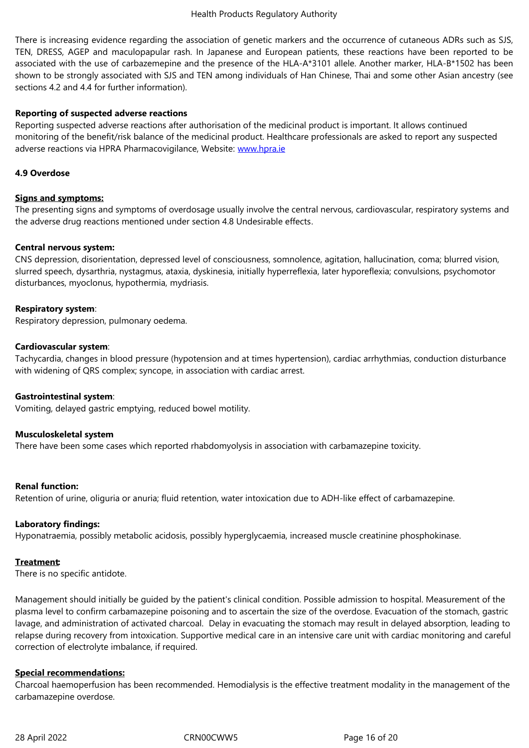#### There is increasing evidence regarding the association of genetic markers and the occurrence of cutaneous ADRs such as SJS,

TEN, DRESS, AGEP and maculopapular rash. In Japanese and European patients, these reactions have been reported to be associated with the use of carbazemepine and the presence of the HLA-A\*3101 allele. Another marker, HLA-B\*1502 has been shown to be strongly associated with SJS and TEN among individuals of Han Chinese, Thai and some other Asian ancestry (see sections 4.2 and 4.4 for further information).

## **Reporting of suspected adverse reactions**

Reporting suspected adverse reactions after authorisation of the medicinal product is important. It allows continued monitoring of the benefit/risk balance of the medicinal product. Healthcare professionals are asked to report any suspected adverse reactions via HPRA Pharmacovigilance, Website: www.hpra.ie

## **4.9 Overdose**

### **Signs and symptoms:**

The presenting signs and symptoms of overdosage usually involve the central nervous, cardiovascular, respiratory systems and the adverse drug reactions mentioned under section 4.8 Undesirable effects.

#### **Central nervous system:**

CNS depression, disorientation, depressed level of consciousness, somnolence, agitation, hallucination, coma; blurred vision, slurred speech, dysarthria, nystagmus, ataxia, dyskinesia, initially hyperreflexia, later hyporeflexia; convulsions, psychomotor disturbances, myoclonus, hypothermia, mydriasis.

## **Respiratory system**:

Respiratory depression, pulmonary oedema.

## **Cardiovascular system**:

Tachycardia, changes in blood pressure (hypotension and at times hypertension), cardiac arrhythmias, conduction disturbance with widening of QRS complex; syncope, in association with cardiac arrest.

#### **Gastrointestinal system**:

Vomiting, delayed gastric emptying, reduced bowel motility.

#### **Musculoskeletal system**

There have been some cases which reported rhabdomyolysis in association with carbamazepine toxicity.

#### **Renal function:**

Retention of urine, oliguria or anuria; fluid retention, water intoxication due to ADH-like effect of carbamazepine.

#### **Laboratory findings:**

Hyponatraemia, possibly metabolic acidosis, possibly hyperglycaemia, increased muscle creatinine phosphokinase.

#### **Treatment:**

There is no specific antidote.

Management should initially be guided by the patient's clinical condition. Possible admission to hospital. Measurement of the plasma level to confirm carbamazepine poisoning and to ascertain the size of the overdose. Evacuation of the stomach, gastric lavage, and administration of activated charcoal. Delay in evacuating the stomach may result in delayed absorption, leading to relapse during recovery from intoxication. Supportive medical care in an intensive care unit with cardiac monitoring and careful correction of electrolyte imbalance, if required.

#### **Special recommendations:**

Charcoal haemoperfusion has been recommended. Hemodialysis is the effective treatment modality in the management of the carbamazepine overdose.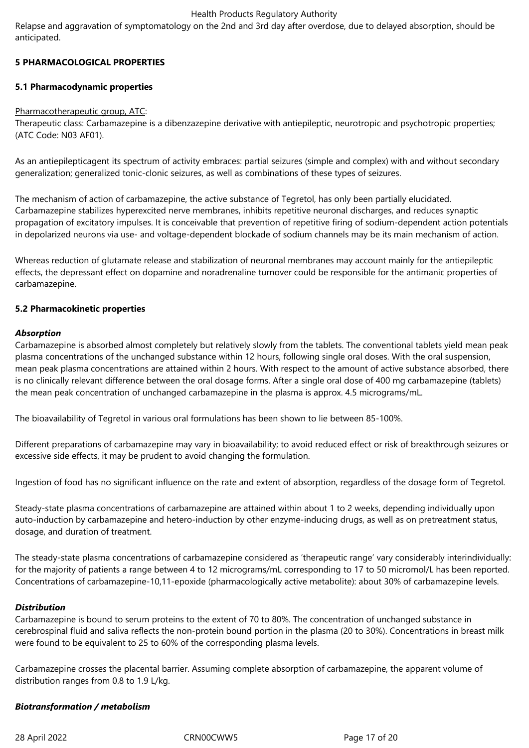Relapse and aggravation of symptomatology on the 2nd and 3rd day after overdose, due to delayed absorption, should be anticipated.

## **5 PHARMACOLOGICAL PROPERTIES**

## **5.1 Pharmacodynamic properties**

#### Pharmacotherapeutic group, ATC:

Therapeutic class: Carbamazepine is a dibenzazepine derivative with antiepileptic, neurotropic and psychotropic properties; (ATC Code: N03 AF01).

As an antiepilepticagent its spectrum of activity embraces: partial seizures (simple and complex) with and without secondary generalization; generalized tonic-clonic seizures, as well as combinations of these types of seizures.

The mechanism of action of carbamazepine, the active substance of Tegretol, has only been partially elucidated. Carbamazepine stabilizes hyperexcited nerve membranes, inhibits repetitive neuronal discharges, and reduces synaptic propagation of excitatory impulses. It is conceivable that prevention of repetitive firing of sodium-dependent action potentials in depolarized neurons via use- and voltage-dependent blockade of sodium channels may be its main mechanism of action.

Whereas reduction of glutamate release and stabilization of neuronal membranes may account mainly for the antiepileptic effects, the depressant effect on dopamine and noradrenaline turnover could be responsible for the antimanic properties of carbamazepine.

#### **5.2 Pharmacokinetic properties**

## *Absorption*

Carbamazepine is absorbed almost completely but relatively slowly from the tablets. The conventional tablets yield mean peak plasma concentrations of the unchanged substance within 12 hours, following single oral doses. With the oral suspension, mean peak plasma concentrations are attained within 2 hours. With respect to the amount of active substance absorbed, there is no clinically relevant difference between the oral dosage forms. After a single oral dose of 400 mg carbamazepine (tablets) the mean peak concentration of unchanged carbamazepine in the plasma is approx. 4.5 micrograms/mL.

The bioavailability of Tegretol in various oral formulations has been shown to lie between 85-100%.

Different preparations of carbamazepine may vary in bioavailability; to avoid reduced effect or risk of breakthrough seizures or excessive side effects, it may be prudent to avoid changing the formulation.

Ingestion of food has no significant influence on the rate and extent of absorption, regardless of the dosage form of Tegretol.

Steady-state plasma concentrations of carbamazepine are attained within about 1 to 2 weeks, depending individually upon auto-induction by carbamazepine and hetero-induction by other enzyme-inducing drugs, as well as on pretreatment status, dosage, and duration of treatment.

The steady-state plasma concentrations of carbamazepine considered as 'therapeutic range' vary considerably interindividually: for the majority of patients a range between 4 to 12 micrograms/mL corresponding to 17 to 50 micromol/L has been reported. Concentrations of carbamazepine-10,11-epoxide (pharmacologically active metabolite): about 30% of carbamazepine levels.

#### *Distribution*

Carbamazepine is bound to serum proteins to the extent of 70 to 80%. The concentration of unchanged substance in cerebrospinal fluid and saliva reflects the non-protein bound portion in the plasma (20 to 30%). Concentrations in breast milk were found to be equivalent to 25 to 60% of the corresponding plasma levels.

Carbamazepine crosses the placental barrier. Assuming complete absorption of carbamazepine, the apparent volume of distribution ranges from 0.8 to 1.9 L/kg.

## *Biotransformation / metabolism*

28 April 2022 CRN00CWW5 Page 17 of 20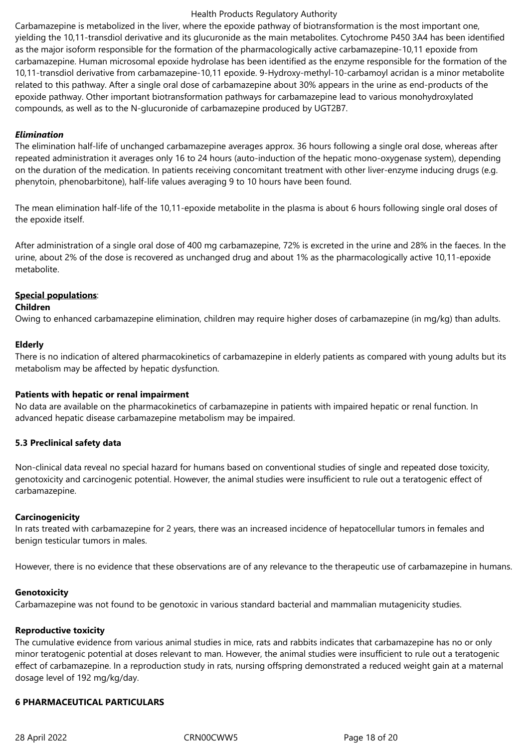Carbamazepine is metabolized in the liver, where the epoxide pathway of biotransformation is the most important one, yielding the 10,11-transdiol derivative and its glucuronide as the main metabolites. Cytochrome P450 3A4 has been identified as the major isoform responsible for the formation of the pharmacologically active carbamazepine-10,11 epoxide from carbamazepine. Human microsomal epoxide hydrolase has been identified as the enzyme responsible for the formation of the 10,11-transdiol derivative from carbamazepine-10,11 epoxide. 9-Hydroxy-methyl-10-carbamoyl acridan is a minor metabolite related to this pathway. After a single oral dose of carbamazepine about 30% appears in the urine as end-products of the epoxide pathway. Other important biotransformation pathways for carbamazepine lead to various monohydroxylated compounds, as well as to the N-glucuronide of carbamazepine produced by UGT2B7.

#### *Elimination*

The elimination half-life of unchanged carbamazepine averages approx. 36 hours following a single oral dose, whereas after repeated administration it averages only 16 to 24 hours (auto-induction of the hepatic mono-oxygenase system), depending on the duration of the medication. In patients receiving concomitant treatment with other liver-enzyme inducing drugs (e.g. phenytoin, phenobarbitone), half-life values averaging 9 to 10 hours have been found.

The mean elimination half-life of the 10,11-epoxide metabolite in the plasma is about 6 hours following single oral doses of the epoxide itself.

After administration of a single oral dose of 400 mg carbamazepine, 72% is excreted in the urine and 28% in the faeces. In the urine, about 2% of the dose is recovered as unchanged drug and about 1% as the pharmacologically active 10,11-epoxide metabolite.

#### **Special populations**:

#### **Children**

Owing to enhanced carbamazepine elimination, children may require higher doses of carbamazepine (in mg/kg) than adults.

#### **Elderly**

There is no indication of altered pharmacokinetics of carbamazepine in elderly patients as compared with young adults but its metabolism may be affected by hepatic dysfunction.

#### **Patients with hepatic or renal impairment**

No data are available on the pharmacokinetics of carbamazepine in patients with impaired hepatic or renal function. In advanced hepatic disease carbamazepine metabolism may be impaired.

#### **5.3 Preclinical safety data**

Non-clinical data reveal no special hazard for humans based on conventional studies of single and repeated dose toxicity, genotoxicity and carcinogenic potential. However, the animal studies were insufficient to rule out a teratogenic effect of carbamazepine.

#### **Carcinogenicity**

In rats treated with carbamazepine for 2 years, there was an increased incidence of hepatocellular tumors in females and benign testicular tumors in males.

However, there is no evidence that these observations are of any relevance to the therapeutic use of carbamazepine in humans.

#### **Genotoxicity**

Carbamazepine was not found to be genotoxic in various standard bacterial and mammalian mutagenicity studies.

#### **Reproductive toxicity**

The cumulative evidence from various animal studies in mice, rats and rabbits indicates that carbamazepine has no or only minor teratogenic potential at doses relevant to man. However, the animal studies were insufficient to rule out a teratogenic effect of carbamazepine. In a reproduction study in rats, nursing offspring demonstrated a reduced weight gain at a maternal dosage level of 192 mg/kg/day.

#### **6 PHARMACEUTICAL PARTICULARS**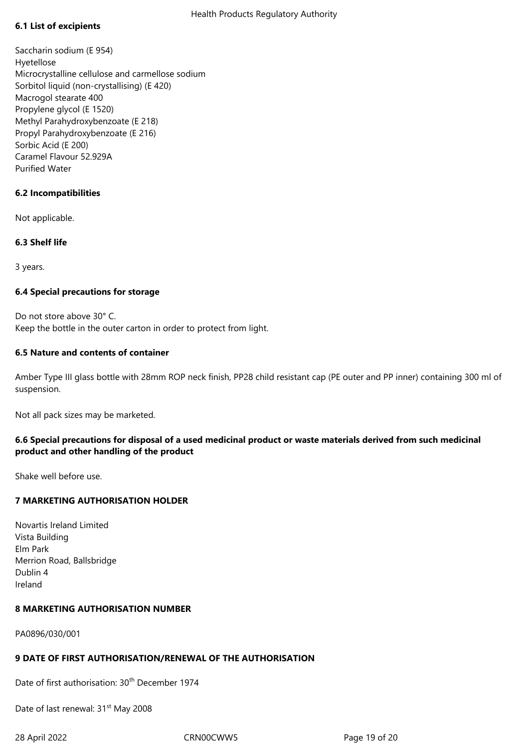## **6.1 List of excipients**

Saccharin sodium (E 954) Hyetellose Microcrystalline cellulose and carmellose sodium Sorbitol liquid (non-crystallising) (E 420) Macrogol stearate 400 Propylene glycol (E 1520) Methyl Parahydroxybenzoate (E 218) Propyl Parahydroxybenzoate (E 216) Sorbic Acid (E 200) Caramel Flavour 52.929A Purified Water

## **6.2 Incompatibilities**

Not applicable.

## **6.3 Shelf life**

3 years.

## **6.4 Special precautions for storage**

Do not store above 30° C. Keep the bottle in the outer carton in order to protect from light.

## **6.5 Nature and contents of container**

Amber Type III glass bottle with 28mm ROP neck finish, PP28 child resistant cap (PE outer and PP inner) containing 300 ml of suspension.

Not all pack sizes may be marketed.

## **6.6 Special precautions for disposal of a used medicinal product or waste materials derived from such medicinal product and other handling of the product**

Shake well before use.

## **7 MARKETING AUTHORISATION HOLDER**

Novartis Ireland Limited Vista Building Elm Park Merrion Road, Ballsbridge Dublin 4 Ireland

## **8 MARKETING AUTHORISATION NUMBER**

PA0896/030/001

## **9 DATE OF FIRST AUTHORISATION/RENEWAL OF THE AUTHORISATION**

Date of first authorisation: 30<sup>th</sup> December 1974

Date of last renewal: 31<sup>st</sup> May 2008

28 April 2022 CRN00CWW5 Page 19 of 20